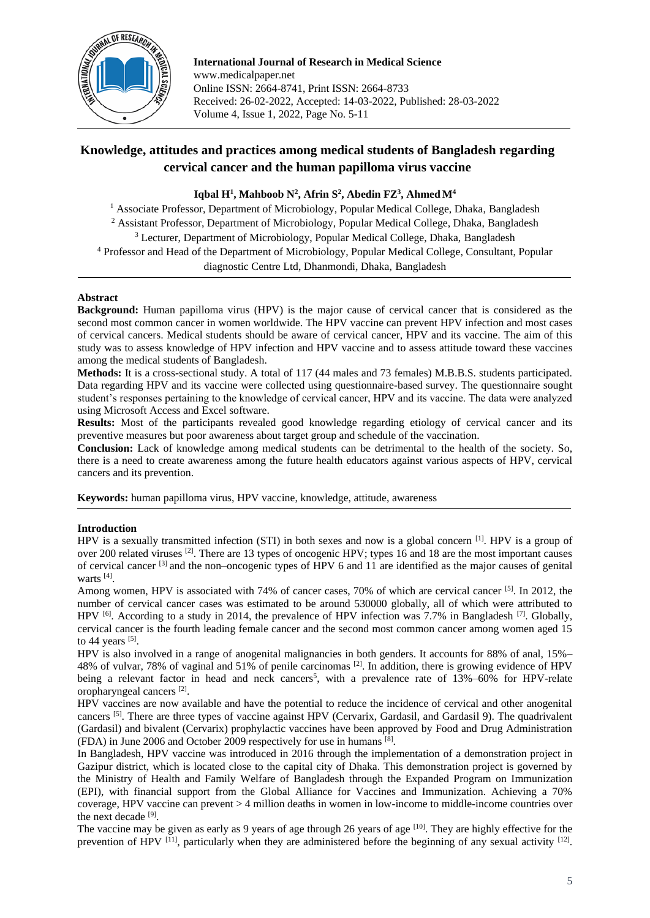

**International Journal of Research in Medical Science** www.medicalpaper.net Online ISSN: 2664-8741, Print ISSN: 2664-8733 Received: 26-02-2022, Accepted: 14-03-2022, Published: 28-03-2022 Volume 4, Issue 1, 2022, Page No. 5-11

# **Knowledge, attitudes and practices among medical students of Bangladesh regarding cervical cancer and the human papilloma virus vaccine**

# **Iqbal H<sup>1</sup> , Mahboob N<sup>2</sup> , Afrin S<sup>2</sup> , Abedin FZ<sup>3</sup> , AhmedM<sup>4</sup>**

<sup>1</sup> Associate Professor, Department of Microbiology, Popular Medical College, Dhaka, Bangladesh <sup>2</sup> Assistant Professor, Department of Microbiology, Popular Medical College, Dhaka, Bangladesh <sup>3</sup> Lecturer, Department of Microbiology, Popular Medical College, Dhaka, Bangladesh <sup>4</sup> Professor and Head of the Department of Microbiology, Popular Medical College, Consultant, Popular diagnostic Centre Ltd, Dhanmondi, Dhaka, Bangladesh

## **Abstract**

**Background:** Human papilloma virus (HPV) is the major cause of cervical cancer that is considered as the second most common cancer in women worldwide. The HPV vaccine can prevent HPV infection and most cases of cervical cancers. Medical students should be aware of cervical cancer, HPV and its vaccine. The aim of this study was to assess knowledge of HPV infection and HPV vaccine and to assess attitude toward these vaccines among the medical students of Bangladesh.

**Methods:** It is a cross-sectional study. A total of 117 (44 males and 73 females) M.B.B.S. students participated. Data regarding HPV and its vaccine were collected using questionnaire-based survey. The questionnaire sought student's responses pertaining to the knowledge of cervical cancer, HPV and its vaccine. The data were analyzed using Microsoft Access and Excel software.

**Results:** Most of the participants revealed good knowledge regarding etiology of cervical cancer and its preventive measures but poor awareness about target group and schedule of the vaccination.

**Conclusion:** Lack of knowledge among medical students can be detrimental to the health of the society. So, there is a need to create awareness among the future health educators against various aspects of HPV, cervical cancers and its prevention.

**Keywords:** human papilloma virus, HPV vaccine, knowledge, attitude, awareness

## **Introduction**

HPV is a sexually transmitted infection (STI) in both sexes and now is a global concern [1]. HPV is a group of over 200 related viruses [2]. There are 13 types of oncogenic HPV; types 16 and 18 are the most important causes of cervical cancer [3] and the non–oncogenic types of HPV 6 and 11 are identified as the major causes of genital warts<sup>[4]</sup>.

Among women, HPV is associated with 74% of cancer cases, 70% of which are cervical cancer [5]. In 2012, the number of cervical cancer cases was estimated to be around 530000 globally, all of which were attributed to HPV <sup>[6]</sup>. According to a study in 2014, the prevalence of HPV infection was 7.7% in Bangladesh <sup>[7]</sup>. Globally, cervical cancer is the fourth leading female cancer and the second most common cancer among women aged 15 to 44 years  $^{[5]}$ .

HPV is also involved in a range of anogenital malignancies in both genders. It accounts for 88% of anal, 15%– 48% of vulvar, 78% of vaginal and 51% of penile carcinomas [2]. In addition, there is growing evidence of HPV being a relevant factor in head and neck cancers<sup>5</sup>, with a prevalence rate of  $13\% -60\%$  for HPV-relate oropharyngeal cancers [2] .

HPV vaccines are now available and have the potential to reduce the incidence of cervical and other anogenital cancers [5]. There are three types of vaccine against HPV (Cervarix, Gardasil, and Gardasil 9). The quadrivalent (Gardasil) and bivalent (Cervarix) prophylactic vaccines have been approved by Food and Drug Administration (FDA) in June 2006 and October 2009 respectively for use in humans [8] .

In Bangladesh, HPV vaccine was introduced in 2016 through the implementation of a demonstration project in Gazipur district, which is located close to the capital city of Dhaka. This demonstration project is governed by the Ministry of Health and Family Welfare of Bangladesh through the Expanded Program on Immunization (EPI), with financial support from the Global Alliance for Vaccines and Immunization. Achieving a 70% coverage, HPV vaccine can prevent > 4 million deaths in women in low-income to middle-income countries over the next decade [9].

The vaccine may be given as early as 9 years of age through 26 years of age <sup>[10]</sup>. They are highly effective for the prevention of HPV  $^{[11]}$ , particularly when they are administered before the beginning of any sexual activity  $^{[12]}$ .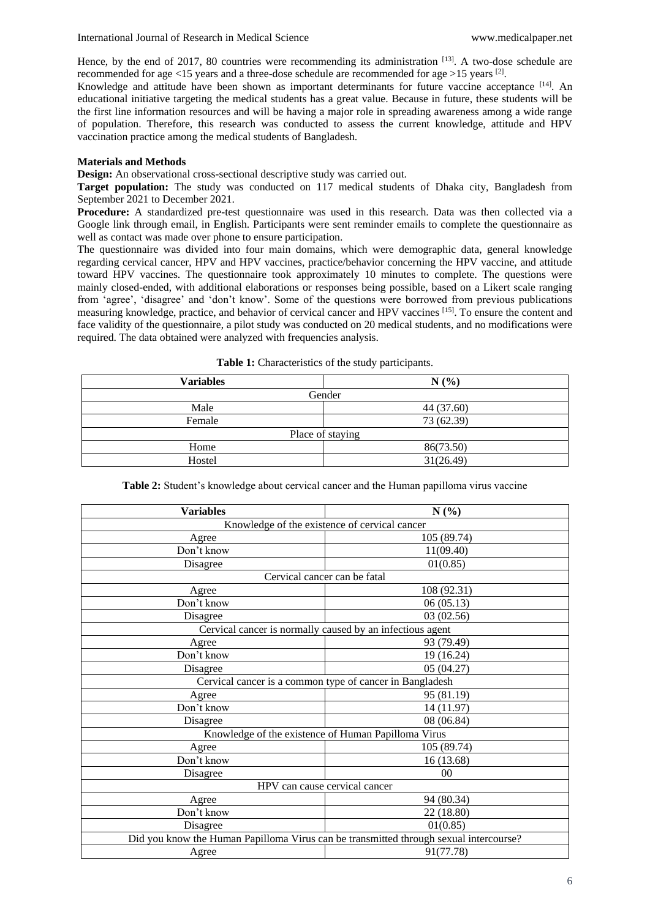Hence, by the end of 2017, 80 countries were recommending its administration  $^{[13]}$ . A two-dose schedule are recommended for age <15 years and a three-dose schedule are recommended for age >15 years  $^{[2]}$ .

Knowledge and attitude have been shown as important determinants for future vaccine acceptance [14]. An educational initiative targeting the medical students has a great value. Because in future, these students will be the first line information resources and will be having a major role in spreading awareness among a wide range of population. Therefore, this research was conducted to assess the current knowledge, attitude and HPV vaccination practice among the medical students of Bangladesh.

#### **Materials and Methods**

**Design:** An observational cross-sectional descriptive study was carried out.

**Target population:** The study was conducted on 117 medical students of Dhaka city, Bangladesh from September 2021 to December 2021.

**Procedure:** A standardized pre-test questionnaire was used in this research. Data was then collected via a Google link through email, in English. Participants were sent reminder emails to complete the questionnaire as well as contact was made over phone to ensure participation.

The questionnaire was divided into four main domains, which were demographic data, general knowledge regarding cervical cancer, HPV and HPV vaccines, practice/behavior concerning the HPV vaccine, and attitude toward HPV vaccines. The questionnaire took approximately 10 minutes to complete. The questions were mainly closed-ended, with additional elaborations or responses being possible, based on a Likert scale ranging from 'agree', 'disagree' and 'don't know'. Some of the questions were borrowed from previous publications measuring knowledge, practice, and behavior of cervical cancer and HPV vaccines [15]. To ensure the content and face validity of the questionnaire, a pilot study was conducted on 20 medical students, and no modifications were required. The data obtained were analyzed with frequencies analysis.

| <b>Variables</b> | N(%)             |  |
|------------------|------------------|--|
|                  | Gender           |  |
| Male             | 44 (37.60)       |  |
| Female           | 73 (62.39)       |  |
|                  | Place of staying |  |
| Home             | 86(73.50)        |  |
| Hostel           | 31(26.49)        |  |

**Table 1:** Characteristics of the study participants.

| Table 2: Student's knowledge about cervical cancer and the Human papilloma virus vaccine |  |  |  |
|------------------------------------------------------------------------------------------|--|--|--|

| <b>Variables</b>                                                                      | N(%)           |  |
|---------------------------------------------------------------------------------------|----------------|--|
| Knowledge of the existence of cervical cancer                                         |                |  |
| Agree                                                                                 | 105 (89.74)    |  |
| Don't know                                                                            | 11(09.40)      |  |
| Disagree                                                                              | 01(0.85)       |  |
| Cervical cancer can be fatal                                                          |                |  |
| Agree                                                                                 | 108 (92.31)    |  |
| Don't know                                                                            | 06(05.13)      |  |
| Disagree                                                                              | 03 (02.56)     |  |
| Cervical cancer is normally caused by an infectious agent                             |                |  |
| Agree                                                                                 | 93 (79.49)     |  |
| Don't know                                                                            | 19 (16.24)     |  |
| Disagree                                                                              | 05 (04.27)     |  |
| Cervical cancer is a common type of cancer in Bangladesh                              |                |  |
| Agree                                                                                 | 95 (81.19)     |  |
| Don't know                                                                            | 14 (11.97)     |  |
| Disagree                                                                              | 08 (06.84)     |  |
| Knowledge of the existence of Human Papilloma Virus                                   |                |  |
| Agree                                                                                 | 105 (89.74)    |  |
| Don't know                                                                            | 16 (13.68)     |  |
| Disagree                                                                              | 0 <sup>0</sup> |  |
| HPV can cause cervical cancer                                                         |                |  |
| Agree                                                                                 | 94 (80.34)     |  |
| Don't know                                                                            | 22 (18.80)     |  |
| Disagree                                                                              | 01(0.85)       |  |
| Did you know the Human Papilloma Virus can be transmitted through sexual intercourse? |                |  |
| 91(77.78)<br>Agree                                                                    |                |  |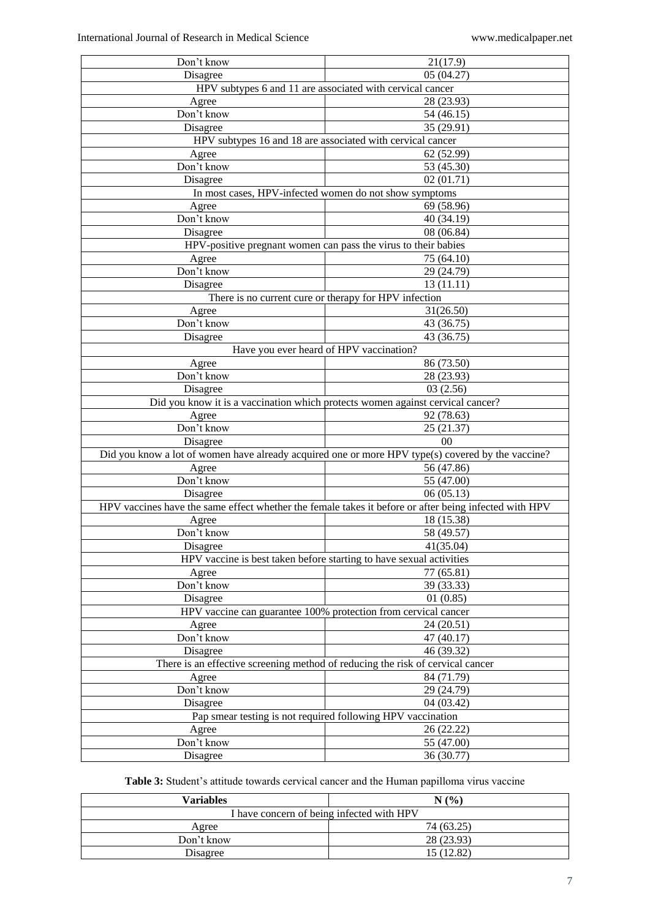| Don't know                                                | 21(17.9)                                                                                              |  |
|-----------------------------------------------------------|-------------------------------------------------------------------------------------------------------|--|
| Disagree                                                  | 05(04.27)                                                                                             |  |
| HPV subtypes 6 and 11 are associated with cervical cancer |                                                                                                       |  |
| Agree                                                     | 28 (23.93)                                                                                            |  |
| Don't know                                                | 54 (46.15)                                                                                            |  |
| Disagree                                                  | 35 (29.91)                                                                                            |  |
|                                                           | HPV subtypes 16 and 18 are associated with cervical cancer                                            |  |
| Agree                                                     | 62 (52.99)                                                                                            |  |
| Don't know                                                | 53 (45.30)                                                                                            |  |
| Disagree                                                  | 02(01.71)                                                                                             |  |
|                                                           | In most cases, HPV-infected women do not show symptoms                                                |  |
| Agree                                                     | 69 (58.96)                                                                                            |  |
| Don't know                                                | 40 (34.19)                                                                                            |  |
| Disagree                                                  | 08 (06.84)                                                                                            |  |
|                                                           | HPV-positive pregnant women can pass the virus to their babies                                        |  |
| Agree                                                     | 75 (64.10)                                                                                            |  |
| Don't know                                                | 29 (24.79)                                                                                            |  |
| Disagree                                                  | 13(11.11)                                                                                             |  |
|                                                           | There is no current cure or therapy for HPV infection                                                 |  |
| Agree                                                     | 31(26.50)                                                                                             |  |
| Don't know                                                | 43 (36.75)                                                                                            |  |
| Disagree                                                  | 43 (36.75)                                                                                            |  |
|                                                           | Have you ever heard of HPV vaccination?                                                               |  |
| Agree                                                     | 86 (73.50)                                                                                            |  |
| Don't know                                                | 28 (23.93)                                                                                            |  |
| Disagree                                                  | 03(2.56)                                                                                              |  |
|                                                           | Did you know it is a vaccination which protects women against cervical cancer?                        |  |
| Agree                                                     | 92 (78.63)                                                                                            |  |
| Don't know                                                |                                                                                                       |  |
|                                                           | 25(21.37)<br>0 <sup>0</sup>                                                                           |  |
| Disagree                                                  |                                                                                                       |  |
|                                                           | Did you know a lot of women have already acquired one or more HPV type(s) covered by the vaccine?     |  |
| Agree                                                     | 56 (47.86)                                                                                            |  |
|                                                           | Don't know<br>55 (47.00)                                                                              |  |
| Disagree                                                  | 06(05.13)                                                                                             |  |
|                                                           | HPV vaccines have the same effect whether the female takes it before or after being infected with HPV |  |
| Agree                                                     | 18 (15.38)                                                                                            |  |
| Don't know                                                | 58 (49.57)                                                                                            |  |
| Disagree<br>41(35.04)                                     |                                                                                                       |  |
|                                                           | HPV vaccine is best taken before starting to have sexual activities                                   |  |
| Agree                                                     | 77 (65.81)                                                                                            |  |
| Don't know                                                | 39 (33.33)                                                                                            |  |
| Disagree                                                  | 01(0.85)                                                                                              |  |
|                                                           | HPV vaccine can guarantee 100% protection from cervical cancer                                        |  |
| Agree                                                     | 24 (20.51)                                                                                            |  |
| Don't know                                                | 47 (40.17)                                                                                            |  |
| Disagree                                                  | 46 (39.32)                                                                                            |  |
|                                                           | There is an effective screening method of reducing the risk of cervical cancer                        |  |
| Agree                                                     | 84 (71.79)                                                                                            |  |
| Don't know                                                | 29 (24.79)                                                                                            |  |
| Disagree                                                  | 04(03.42)                                                                                             |  |
|                                                           | Pap smear testing is not required following HPV vaccination                                           |  |
| Agree                                                     | 26 (22.22)                                                                                            |  |
| Don't know                                                | 55 (47.00)                                                                                            |  |
| Disagree                                                  | 36 (30.77)                                                                                            |  |
|                                                           |                                                                                                       |  |

**Table 3:** Student's attitude towards cervical cancer and the Human papilloma virus vaccine

| Variables                                 | $(%^{(0)}_{0})^{1}$ |  |
|-------------------------------------------|---------------------|--|
| I have concern of being infected with HPV |                     |  |
| Agree                                     | 74 (63.25)          |  |
| Don't know                                | 28 (23.93)          |  |
| Disagree                                  | 15 (12.82)          |  |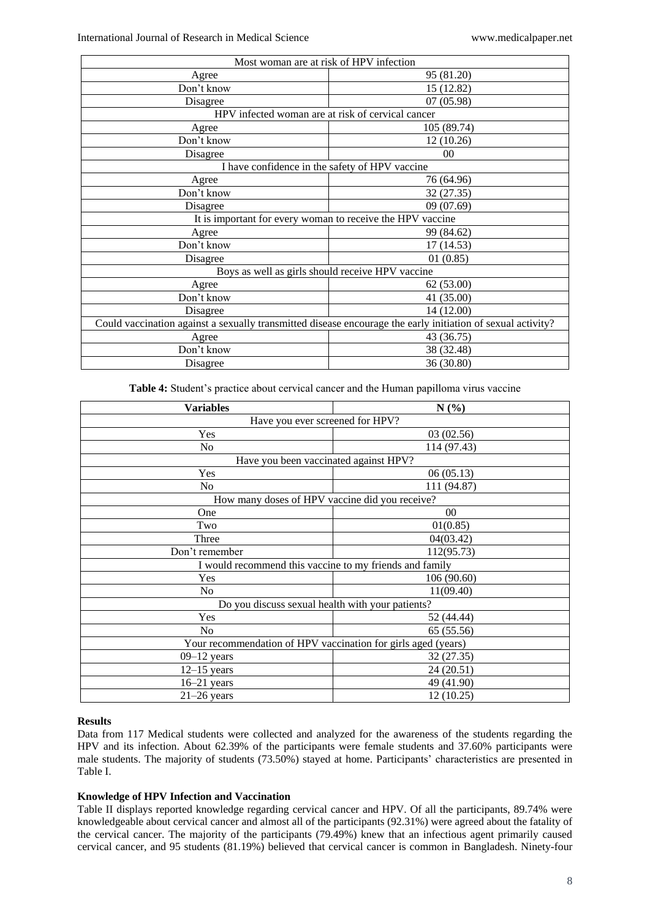| Most woman are at risk of HPV infection                                                                     |             |  |
|-------------------------------------------------------------------------------------------------------------|-------------|--|
| Agree                                                                                                       | 95 (81.20)  |  |
| Don't know                                                                                                  | 15 (12.82)  |  |
| Disagree                                                                                                    | 07(05.98)   |  |
| HPV infected woman are at risk of cervical cancer                                                           |             |  |
| Agree                                                                                                       | 105 (89.74) |  |
| Don't know                                                                                                  | 12(10.26)   |  |
| Disagree                                                                                                    | $00\,$      |  |
| I have confidence in the safety of HPV vaccine                                                              |             |  |
| Agree                                                                                                       | 76 (64.96)  |  |
| Don't know                                                                                                  | 32 (27.35)  |  |
| Disagree                                                                                                    | 09 (07.69)  |  |
| It is important for every woman to receive the HPV vaccine                                                  |             |  |
| Agree                                                                                                       | 99 (84.62)  |  |
| Don't know                                                                                                  | 17 (14.53)  |  |
| Disagree                                                                                                    | 01(0.85)    |  |
| Boys as well as girls should receive HPV vaccine                                                            |             |  |
| Agree                                                                                                       | 62(53.00)   |  |
| Don't know                                                                                                  | 41 (35.00)  |  |
| Disagree                                                                                                    | 14 (12.00)  |  |
| Could vaccination against a sexually transmitted disease encourage the early initiation of sexual activity? |             |  |
| Agree                                                                                                       | 43 (36.75)  |  |
| Don't know                                                                                                  | 38 (32.48)  |  |
| Disagree                                                                                                    | 36 (30.80)  |  |

**Table 4:** Student's practice about cervical cancer and the Human papilloma virus vaccine

| <b>Variables</b>                                              | N(%)        |  |
|---------------------------------------------------------------|-------------|--|
| Have you ever screened for HPV?                               |             |  |
| Yes                                                           | 03(02.56)   |  |
| No                                                            | 114 (97.43) |  |
| Have you been vaccinated against HPV?                         |             |  |
| Yes                                                           | 06(05.13)   |  |
| No                                                            | 111 (94.87) |  |
| How many doses of HPV vaccine did you receive?                |             |  |
| One                                                           | 00          |  |
| Two                                                           | 01(0.85)    |  |
| Three                                                         | 04(03.42)   |  |
| Don't remember                                                | 112(95.73)  |  |
| I would recommend this vaccine to my friends and family       |             |  |
| Yes                                                           | 106 (90.60) |  |
| No                                                            | 11(09.40)   |  |
| Do you discuss sexual health with your patients?              |             |  |
| Yes                                                           | 52 (44.44)  |  |
| No                                                            | 65 (55.56)  |  |
| Your recommendation of HPV vaccination for girls aged (years) |             |  |
| $09-12$ years                                                 | 32 (27.35)  |  |
| $12-15$ years                                                 | 24 (20.51)  |  |
| $16-21$ years                                                 | 49 (41.90)  |  |
| $21-26$ years                                                 | 12 (10.25)  |  |

#### **Results**

Data from 117 Medical students were collected and analyzed for the awareness of the students regarding the HPV and its infection. About 62.39% of the participants were female students and 37.60% participants were male students. The majority of students (73.50%) stayed at home. Participants' characteristics are presented in Table I.

## **Knowledge of HPV Infection and Vaccination**

Table II displays reported knowledge regarding cervical cancer and HPV. Of all the participants, 89.74% were knowledgeable about cervical cancer and almost all of the participants (92.31%) were agreed about the fatality of the cervical cancer. The majority of the participants (79.49%) knew that an infectious agent primarily caused cervical cancer, and 95 students (81.19%) believed that cervical cancer is common in Bangladesh. Ninety-four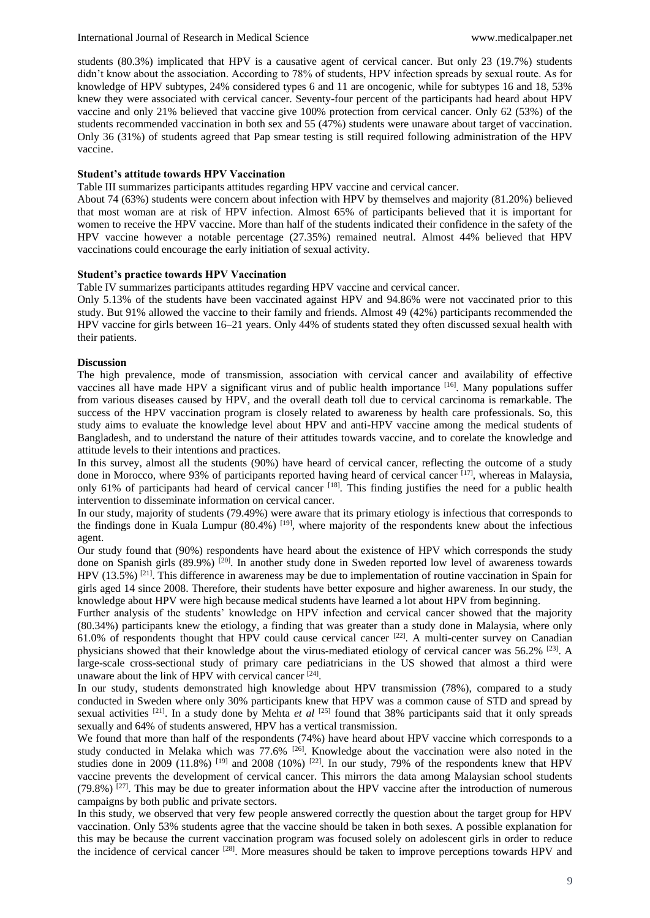students (80.3%) implicated that HPV is a causative agent of cervical cancer. But only 23 (19.7%) students didn't know about the association. According to 78% of students, HPV infection spreads by sexual route. As for knowledge of HPV subtypes, 24% considered types 6 and 11 are oncogenic, while for subtypes 16 and 18, 53% knew they were associated with cervical cancer. Seventy-four percent of the participants had heard about HPV vaccine and only 21% believed that vaccine give 100% protection from cervical cancer. Only 62 (53%) of the students recommended vaccination in both sex and 55 (47%) students were unaware about target of vaccination. Only 36 (31%) of students agreed that Pap smear testing is still required following administration of the HPV vaccine.

#### **Student's attitude towards HPV Vaccination**

Table III summarizes participants attitudes regarding HPV vaccine and cervical cancer.

About 74 (63%) students were concern about infection with HPV by themselves and majority (81.20%) believed that most woman are at risk of HPV infection. Almost 65% of participants believed that it is important for women to receive the HPV vaccine. More than half of the students indicated their confidence in the safety of the HPV vaccine however a notable percentage (27.35%) remained neutral. Almost 44% believed that HPV vaccinations could encourage the early initiation of sexual activity.

#### **Student's practice towards HPV Vaccination**

Table IV summarizes participants attitudes regarding HPV vaccine and cervical cancer.

Only 5.13% of the students have been vaccinated against HPV and 94.86% were not vaccinated prior to this study. But 91% allowed the vaccine to their family and friends. Almost 49 (42%) participants recommended the HPV vaccine for girls between 16–21 years. Only 44% of students stated they often discussed sexual health with their patients.

#### **Discussion**

The high prevalence, mode of transmission, association with cervical cancer and availability of effective vaccines all have made HPV a significant virus and of public health importance [16]. Many populations suffer from various diseases caused by HPV, and the overall death toll due to cervical carcinoma is remarkable. The success of the HPV vaccination program is closely related to awareness by health care professionals. So, this study aims to evaluate the knowledge level about HPV and anti-HPV vaccine among the medical students of Bangladesh, and to understand the nature of their attitudes towards vaccine, and to corelate the knowledge and attitude levels to their intentions and practices.

In this survey, almost all the students (90%) have heard of cervical cancer, reflecting the outcome of a study done in Morocco, where 93% of participants reported having heard of cervical cancer [17], whereas in Malaysia, only 61% of participants had heard of cervical cancer  $^{[18]}$ . This finding justifies the need for a public health intervention to disseminate information on cervical cancer.

In our study, majority of students (79.49%) were aware that its primary etiology is infectious that corresponds to the findings done in Kuala Lumpur (80.4%) [19], where majority of the respondents knew about the infectious agent.

Our study found that (90%) respondents have heard about the existence of HPV which corresponds the study done on Spanish girls (89.9%) <sup>[20]</sup>. In another study done in Sweden reported low level of awareness towards HPV (13.5%) [21]. This difference in awareness may be due to implementation of routine vaccination in Spain for girls aged 14 since 2008. Therefore, their students have better exposure and higher awareness. In our study, the knowledge about HPV were high because medical students have learned a lot about HPV from beginning.

Further analysis of the students' knowledge on HPV infection and cervical cancer showed that the majority (80.34%) participants knew the etiology, a finding that was greater than a study done in Malaysia, where only 61.0% of respondents thought that HPV could cause cervical cancer [22]. A multi-center survey on Canadian physicians showed that their knowledge about the virus-mediated etiology of cervical cancer was 56.2% [23]. A large-scale cross-sectional study of primary care pediatricians in the US showed that almost a third were unaware about the link of HPV with cervical cancer [24].

In our study, students demonstrated high knowledge about HPV transmission (78%), compared to a study conducted in Sweden where only 30% participants knew that HPV was a common cause of STD and spread by sexual activities  $[21]$ . In a study done by Mehta *et al*  $[25]$  found that 38% participants said that it only spreads sexually and 64% of students answered, HPV has a vertical transmission.

We found that more than half of the respondents (74%) have heard about HPV vaccine which corresponds to a study conducted in Melaka which was 77.6% <sup>[26]</sup>. Knowledge about the vaccination were also noted in the studies done in 2009 (11.8%) <sup>[19]</sup> and 2008 (10%) <sup>[22]</sup>. In our study, 79% of the respondents knew that HPV vaccine prevents the development of cervical cancer. This mirrors the data among Malaysian school students  $(79.8\%)$ <sup>[27]</sup>. This may be due to greater information about the HPV vaccine after the introduction of numerous campaigns by both public and private sectors.

In this study, we observed that very few people answered correctly the question about the target group for HPV vaccination. Only 53% students agree that the vaccine should be taken in both sexes. A possible explanation for this may be because the current vaccination program was focused solely on adolescent girls in order to reduce the incidence of cervical cancer <sup>[28]</sup>. More measures should be taken to improve perceptions towards HPV and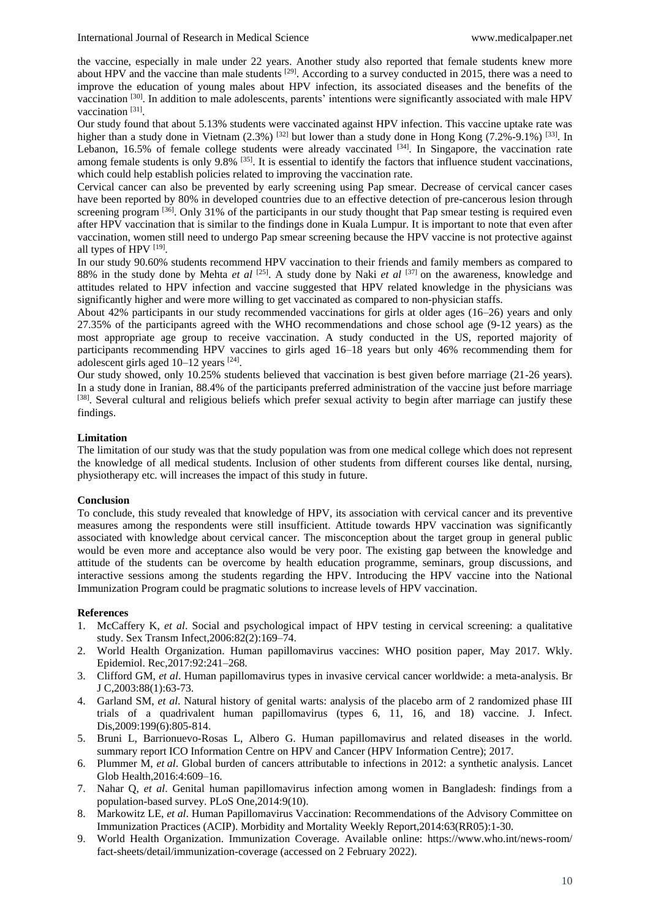the vaccine, especially in male under 22 years. Another study also reported that female students knew more about HPV and the vaccine than male students <sup>[29]</sup>. According to a survey conducted in 2015, there was a need to improve the education of young males about HPV infection, its associated diseases and the benefits of the vaccination [30]. In addition to male adolescents, parents' intentions were significantly associated with male HPV vaccination<sup>[31]</sup>.

Our study found that about 5.13% students were vaccinated against HPV infection. This vaccine uptake rate was higher than a study done in Vietnam (2.3%) <sup>[32]</sup> but lower than a study done in Hong Kong (7.2%-9.1%) <sup>[33]</sup>. In Lebanon, 16.5% of female college students were already vaccinated <sup>[34]</sup>. In Singapore, the vaccination rate among female students is only 9.8% <sup>[35]</sup>. It is essential to identify the factors that influence student vaccinations, which could help establish policies related to improving the vaccination rate.

Cervical cancer can also be prevented by early screening using Pap smear. Decrease of cervical cancer cases have been reported by 80% in developed countries due to an effective detection of pre-cancerous lesion through screening program <sup>[36]</sup>. Only 31% of the participants in our study thought that Pap smear testing is required even after HPV vaccination that is similar to the findings done in Kuala Lumpur. It is important to note that even after vaccination, women still need to undergo Pap smear screening because the HPV vaccine is not protective against all types of HPV [19].

In our study 90.60% students recommend HPV vaccination to their friends and family members as compared to 88% in the study done by Mehta *et al* <sup>[25]</sup>. A study done by Naki *et al* <sup>[37]</sup> on the awareness, knowledge and attitudes related to HPV infection and vaccine suggested that HPV related knowledge in the physicians was significantly higher and were more willing to get vaccinated as compared to non-physician staffs.

About 42% participants in our study recommended vaccinations for girls at older ages (16–26) years and only 27.35% of the participants agreed with the WHO recommendations and chose school age (9-12 years) as the most appropriate age group to receive vaccination. A study conducted in the US, reported majority of participants recommending HPV vaccines to girls aged 16–18 years but only 46% recommending them for adolescent girls aged  $10-12$  years  $^{[24]}$ .

Our study showed, only 10.25% students believed that vaccination is best given before marriage (21-26 years). In a study done in Iranian, 88.4% of the participants preferred administration of the vaccine just before marriage [38]. Several cultural and religious beliefs which prefer sexual activity to begin after marriage can justify these findings.

### **Limitation**

The limitation of our study was that the study population was from one medical college which does not represent the knowledge of all medical students. Inclusion of other students from different courses like dental, nursing, physiotherapy etc. will increases the impact of this study in future.

#### **Conclusion**

To conclude, this study revealed that knowledge of HPV, its association with cervical cancer and its preventive measures among the respondents were still insufficient. Attitude towards HPV vaccination was significantly associated with knowledge about cervical cancer. The misconception about the target group in general public would be even more and acceptance also would be very poor. The existing gap between the knowledge and attitude of the students can be overcome by health education programme, seminars, group discussions, and interactive sessions among the students regarding the HPV. Introducing the HPV vaccine into the National Immunization Program could be pragmatic solutions to increase levels of HPV vaccination.

#### **References**

- 1. McCaffery K, *et al*. Social and psychological impact of HPV testing in cervical screening: a qualitative study. Sex Transm Infect,2006:82(2):169–74.
- 2. World Health Organization. Human papillomavirus vaccines: WHO position paper, May 2017. Wkly. Epidemiol. Rec,2017:92:241–268.
- 3. Clifford GM, *et al*. Human papillomavirus types in invasive cervical cancer worldwide: a meta-analysis. Br J C,2003:88(1):63-73.
- 4. Garland SM, *et al*. Natural history of genital warts: analysis of the placebo arm of 2 randomized phase III trials of a quadrivalent human papillomavirus (types 6, 11, 16, and 18) vaccine. J. Infect. Dis, 2009: 199(6): 805-814.
- 5. Bruni L, Barrionuevo-Rosas L, Albero G. Human papillomavirus and related diseases in the world. summary report ICO Information Centre on HPV and Cancer (HPV Information Centre); 2017.
- 6. Plummer M, *et al*. Global burden of cancers attributable to infections in 2012: a synthetic analysis. Lancet Glob Health,2016:4:609–16.
- 7. Nahar Q, *et al*. Genital human papillomavirus infection among women in Bangladesh: findings from a population-based survey. PLoS One,2014:9(10).
- 8. Markowitz LE, *et al*. Human Papillomavirus Vaccination: Recommendations of the Advisory Committee on Immunization Practices (ACIP). Morbidity and Mortality Weekly Report,2014:63(RR05):1-30.
- 9. World Health Organization. Immunization Coverage. Available online: https://www.who.int/news-room/ fact-sheets/detail/immunization-coverage (accessed on 2 February 2022).